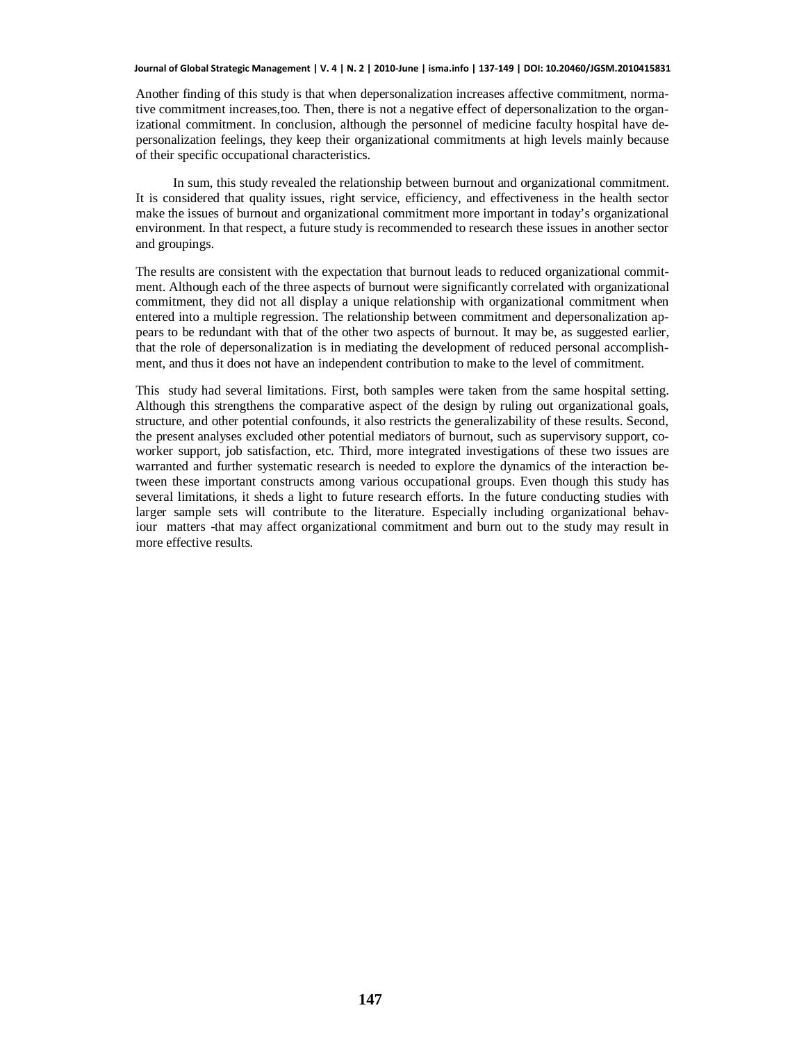## **Journal of Global Strategic Management | V. 4 | N. 2 | 2010-June | isma.info | 137-149 | DOI: 10.20460/JGSM.2010415831**

Another finding of this study is that when depersonalization increases affective commitment, normative commitment increases,too. Then, there is not a negative effect of depersonalization to the organizational commitment. In conclusion, although the personnel of medicine faculty hospital have depersonalization feelings, they keep their organizational commitments at high levels mainly because of their specific occupational characteristics.

In sum, this study revealed the relationship between burnout and organizational commitment. It is considered that quality issues, right service, efficiency, and effectiveness in the health sector make the issues of burnout and organizational commitment more important in today's organizational environment. In that respect, a future study is recommended to research these issues in another sector and groupings.

The results are consistent with the expectation that burnout leads to reduced organizational commitment. Although each of the three aspects of burnout were significantly correlated with organizational commitment, they did not all display a unique relationship with organizational commitment when entered into a multiple regression. The relationship between commitment and depersonalization appears to be redundant with that of the other two aspects of burnout. It may be, as suggested earlier, that the role of depersonalization is in mediating the development of reduced personal accomplishment, and thus it does not have an independent contribution to make to the level of commitment.

This study had several limitations. First, both samples were taken from the same hospital setting. Although this strengthens the comparative aspect of the design by ruling out organizational goals, structure, and other potential confounds, it also restricts the generalizability of these results. Second, the present analyses excluded other potential mediators of burnout, such as supervisory support, coworker support, job satisfaction, etc. Third, more integrated investigations of these two issues are warranted and further systematic research is needed to explore the dynamics of the interaction between these important constructs among various occupational groups. Even though this study has several limitations, it sheds a light to future research efforts. In the future conducting studies with larger sample sets will contribute to the literature. Especially including organizational behaviour matters -that may affect organizational commitment and burn out to the study may result in more effective results.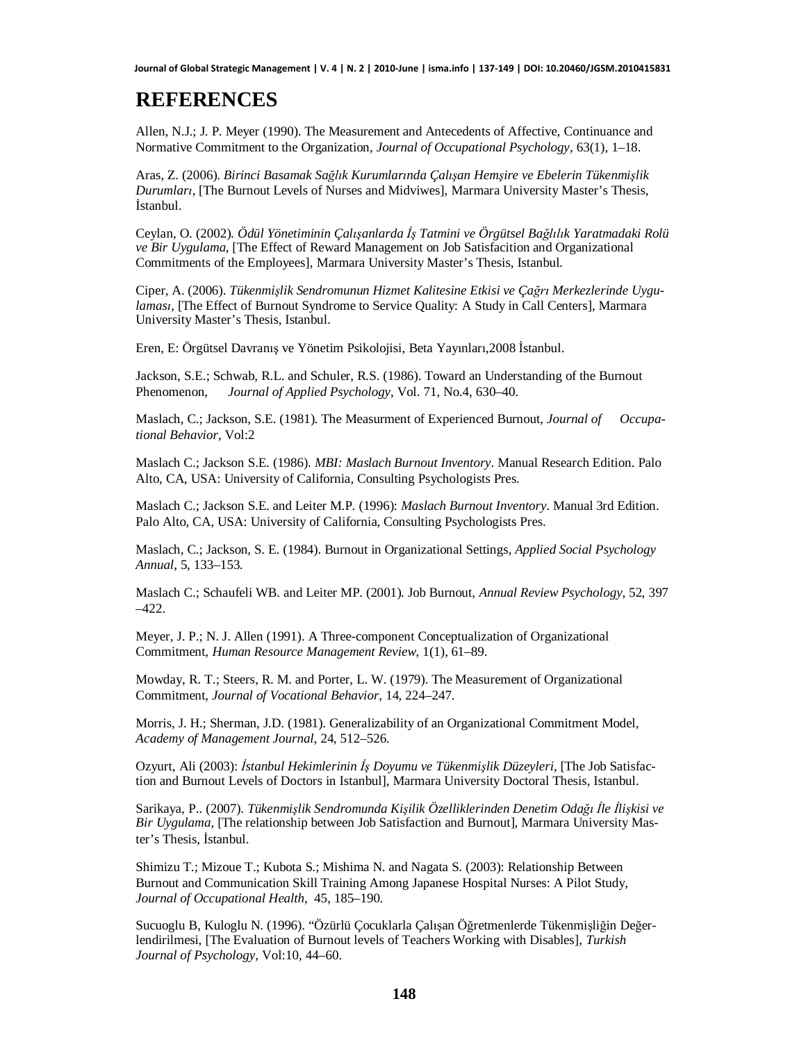## **REFERENCES**

Allen, N.J.; J. P. Meyer (1990). The Measurement and Antecedents of Affective, Continuance and Normative Commitment to the Organization, *Journal of Occupational Psychology*, 63(1), 1–18.

Aras, Z. (2006). *Birinci Basamak Sa÷OÕk KurumlarÕnda ÇalÕúan Hemúire ve Ebelerin Tükenmiúlik Durumlari*, [The Burnout Levels of Nurses and Midviwes], Marmara University Master's Thesis, İstanbul.

Ceylan, O. (2002). *Ödül Yönetiminin ÇalÕúanlarda øú Tatmini ve Örgütsel Ba÷OÕOÕk Yaratmadaki Rolü ve Bir Uygulama*, [The Effect of Reward Management on Job Satisfacition and Organizational Commitments of the Employees], Marmara University Master's Thesis, Istanbul.

Ciper, A. (2006). *Tükenmişlik Sendromunun Hizmet Kalitesine Etkisi ve Çağrı Merkezlerinde Uygulamasi*, [The Effect of Burnout Syndrome to Service Quality: A Study in Call Centers], Marmara University Master's Thesis, Istanbul.

Eren, E: Örgütsel Davranıs ve Yönetim Psikolojisi, Beta Yayınları, 2008 İstanbul.

Jackson, S.E.; Schwab, R.L. and Schuler, R.S. (1986). Toward an Understanding of the Burnout Phenomenon, *Journal of Applied Psychology*, Vol. 71, No.4, 630–40.

Maslach, C.; Jackson, S.E. (1981). The Measurment of Experienced Burnout, *Journal of Occupational Behavior*, Vol:2

Maslach C.; Jackson S.E. (1986). *MBI: Maslach Burnout Inventory*. Manual Research Edition. Palo Alto, CA, USA: University of California, Consulting Psychologists Pres.

Maslach C.; Jackson S.E. and Leiter M.P. (1996): *Maslach Burnout Inventory*. Manual 3rd Edition. Palo Alto, CA, USA: University of California, Consulting Psychologists Pres.

Maslach, C.; Jackson, S. E. (1984). Burnout in Organizational Settings, *Applied Social Psychology Annual*, 5, 133–153.

Maslach C.; Schaufeli WB. and Leiter MP. (2001). Job Burnout, *Annual Review Psychology*, 52, 397  $-422$ .

Meyer, J. P.; N. J. Allen (1991). A Three-component Conceptualization of Organizational Commitment, *Human Resource Management Review*, 1(1), 61–89.

Mowday, R. T.; Steers, R. M. and Porter, L. W. (1979). The Measurement of Organizational Commitment, *Journal of Vocational Behavior*, 14, 224–247.

Morris, J. H.; Sherman, J.D. (1981). Generalizability of an Organizational Commitment Model, *Academy of Management Journal*, 24, 512–526.

Ozyurt, Ali (2003): *østanbul Hekimlerinin øú Doyumu ve Tükenmiúlik Düzeyleri*, [The Job Satisfaction and Burnout Levels of Doctors in Istanbul], Marmara University Doctoral Thesis, Istanbul.

Sarikaya, P.. (2007). *Tükenmiúlik Sendromunda Kiúilik Özelliklerinden Denetim Oda÷Õøle øliúkisi ve Bir Uygulama*, [The relationship between Job Satisfaction and Burnout], Marmara University Master's Thesis, İstanbul.

Shimizu T.; Mizoue T.; Kubota S.; Mishima N. and Nagata S. (2003): Relationship Between Burnout and Communication Skill Training Among Japanese Hospital Nurses: A Pilot Study, *Journal of Occupational Health*, 45, 185–190.

Sucuoglu B, Kuloglu N. (1996). "Özürlü Cocuklarla Calısan Öğretmenlerde Tükenmişliğin Değerlendirilmesi, [The Evaluation of Burnout levels of Teachers Working with Disables], *Turkish Journal of Psychology*, Vol:10, 44–60.